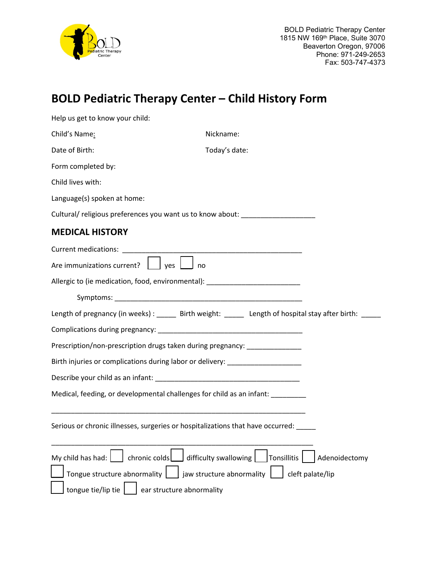

## **BOLD Pediatric Therapy Center – Child History Form**

| Help us get to know your child:                                                  |                                                                                                         |
|----------------------------------------------------------------------------------|---------------------------------------------------------------------------------------------------------|
| Child's Name:                                                                    | Nickname:                                                                                               |
| Date of Birth:                                                                   | Today's date:                                                                                           |
| Form completed by:                                                               |                                                                                                         |
| Child lives with:                                                                |                                                                                                         |
| Language(s) spoken at home:                                                      |                                                                                                         |
| Cultural/ religious preferences you want us to know about: _____________________ |                                                                                                         |
| <b>MEDICAL HISTORY</b>                                                           |                                                                                                         |
|                                                                                  |                                                                                                         |
| Are immunizations current? $\Box$ yes<br>no                                      |                                                                                                         |
| Allergic to (ie medication, food, environmental): ______________________________ |                                                                                                         |
|                                                                                  |                                                                                                         |
|                                                                                  | Length of pregnancy (in weeks) : ______ Birth weight: ______ Length of hospital stay after birth: _____ |
|                                                                                  |                                                                                                         |
| Prescription/non-prescription drugs taken during pregnancy: ____________________ |                                                                                                         |
| Birth injuries or complications during labor or delivery: ______________________ |                                                                                                         |
|                                                                                  |                                                                                                         |
| Medical, feeding, or developmental challenges for child as an infant: _________  |                                                                                                         |
|                                                                                  |                                                                                                         |
| Serious or chronic illnesses, surgeries or hospitalizations that have occurred:  |                                                                                                         |
| chronic colds<br>My child has had:                                               | difficulty swallowing<br>Tonsillitis<br>Adenoidectomy                                                   |
| Tongue structure abnormality                                                     | jaw structure abnormality<br>cleft palate/lip                                                           |
| tongue tie/lip tie<br>ear structure abnormality                                  |                                                                                                         |